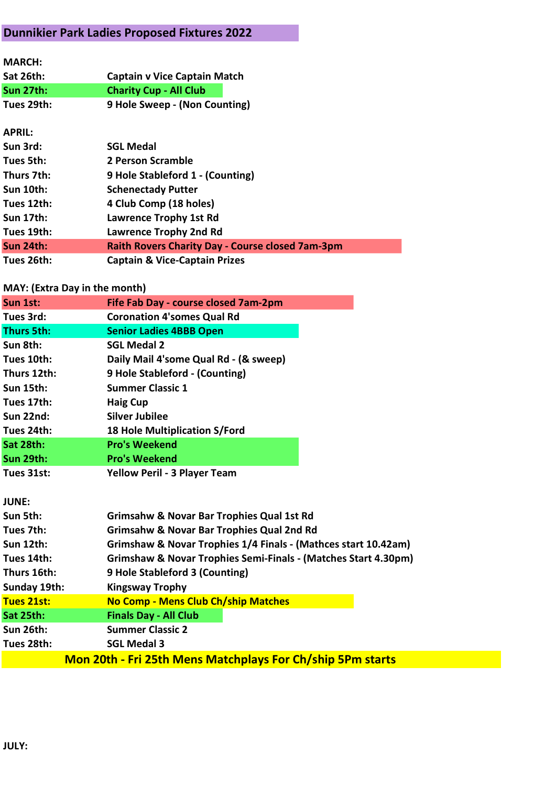## Dunnikier Park Ladies Proposed Fixtures 2022

| <b>MARCH:</b>    |                                                         |
|------------------|---------------------------------------------------------|
| <b>Sat 26th:</b> | <b>Captain v Vice Captain Match</b>                     |
| <b>Sun 27th:</b> | <b>Charity Cup - All Club</b>                           |
| Tues 29th:       | 9 Hole Sweep - (Non Counting)                           |
|                  |                                                         |
| <b>APRIL:</b>    |                                                         |
| Sun 3rd:         | <b>SGL Medal</b>                                        |
| Tues 5th:        | 2 Person Scramble                                       |
| Thurs 7th:       | 9 Hole Stableford 1 - (Counting)                        |
| <b>Sun 10th:</b> | <b>Schenectady Putter</b>                               |
| Tues 12th:       | 4 Club Comp (18 holes)                                  |
| <b>Sun 17th:</b> | <b>Lawrence Trophy 1st Rd</b>                           |
| Tues 19th:       | <b>Lawrence Trophy 2nd Rd</b>                           |
| Sun 24th:        | <b>Raith Rovers Charity Day - Course closed 7am-3pm</b> |
| Tues 26th:       | <b>Captain &amp; Vice-Captain Prizes</b>                |

## MAY: (Extra Day in the month)

| Sun 1st:          | Fife Fab Day - course closed 7am-2pm                              |
|-------------------|-------------------------------------------------------------------|
| Tues 3rd:         | <b>Coronation 4'somes Qual Rd</b>                                 |
| <b>Thurs 5th:</b> | <b>Senior Ladies 4BBB Open</b>                                    |
| Sun 8th:          | <b>SGL Medal 2</b>                                                |
| Tues 10th:        | Daily Mail 4'some Qual Rd - (& sweep)                             |
| Thurs 12th:       | 9 Hole Stableford - (Counting)                                    |
| <b>Sun 15th:</b>  | <b>Summer Classic 1</b>                                           |
| Tues 17th:        | <b>Haig Cup</b>                                                   |
| <b>Sun 22nd:</b>  | <b>Silver Jubilee</b>                                             |
| Tues 24th:        | 18 Hole Multiplication S/Ford                                     |
| Sat 28th:         | <b>Pro's Weekend</b>                                              |
| <b>Sun 29th:</b>  | <b>Pro's Weekend</b>                                              |
| Tues 31st:        | <b>Yellow Peril - 3 Player Team</b>                               |
|                   |                                                                   |
| <b>JUNE:</b>      |                                                                   |
| Sun 5th:          | Grimsahw & Novar Bar Trophies Qual 1st Rd                         |
| Tues 7th:         | <b>Grimsahw &amp; Novar Bar Trophies Qual 2nd Rd</b>              |
| <b>Sun 12th:</b>  | Grimshaw & Novar Trophies 1/4 Finals - (Mathces start 10.42am)    |
| Tues 14th:        | Grimshaw & Novar Trophies Semi-Finals - (Matches Start 4.30pm)    |
| Thurs 16th:       | 9 Hole Stableford 3 (Counting)                                    |
| Sunday 19th:      | <b>Kingsway Trophy</b>                                            |
| <b>Tues 21st:</b> | <b>No Comp - Mens Club Ch/ship Matches</b>                        |
| Sat 25th:         | <b>Finals Day - All Club</b>                                      |
| <b>Sun 26th:</b>  | <b>Summer Classic 2</b>                                           |
| Tues 28th:        | <b>SGL Medal 3</b>                                                |
|                   | <b>Mon 20th - Fri 25th Mens Matchplays For Ch/ship 5Pm starts</b> |